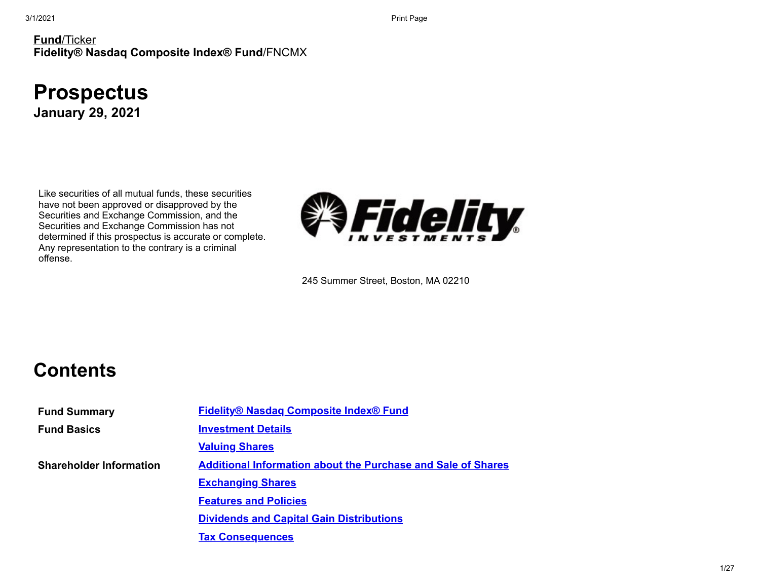#### **Fund**/Ticker **Fidelity® Nasdaq Composite Index® Fund**/FNCMX

# **Prospectus**

**January 29, 2021**

Like securities of all mutual funds, these securities have not been approved or disapproved by the Securities and Exchange Commission, and the Securities and Exchange Commission has not determined if this prospectus is accurate or complete. Any representation to the contrary is a criminal offense.



245 Summer Street, Boston, MA 02210

## **Contents**

**Fund Summary Fidelity® Nasdaq [Composite](#page-1-0) Index® Fund Fund Basics [Investment](#page-7-0) Details [Valuing](#page-10-0) Shares Shareholder Information Additional [Information](#page-11-0) about the Purchase and Sale of Shares [Exchanging](#page-16-0) Shares [Features](#page-17-0) and Policies Dividends and Capital Gain [Distributions](#page-19-0) Tax [Consequences](#page-19-1)**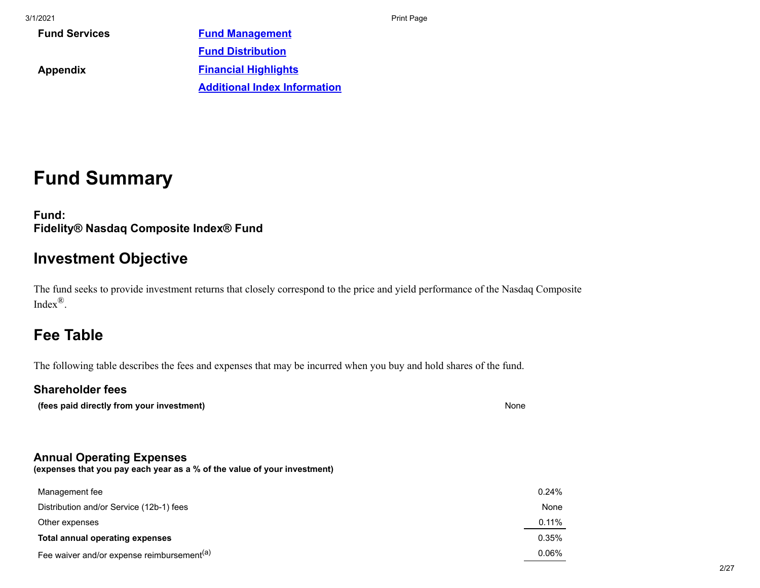| <b>Fund Services</b> | <b>Fund Management</b>              |
|----------------------|-------------------------------------|
|                      | <b>Fund Distribution</b>            |
| Appendix             | <b>Financial Highlights</b>         |
|                      | <b>Additional Index Information</b> |
|                      |                                     |

## **Fund Summary**

<span id="page-1-0"></span>**Fund: Fidelity® Nasdaq Composite Index® Fund**

### **Investment Objective**

The fund seeks to provide investment returns that closely correspond to the price and yield performance of the Nasdaq Composite Index®.

## **Fee Table**

The following table describes the fees and expenses that may be incurred when you buy and hold shares of the fund.

### **Shareholder fees**

**(fees paid directly from your investment)** None

### **Annual Operating Expenses**

**(expenses that you pay each year as a % of the value of your investment)**

| Management fee                                         | 0.24% |
|--------------------------------------------------------|-------|
| Distribution and/or Service (12b-1) fees               | None  |
| Other expenses                                         | 0.11% |
| Total annual operating expenses                        | 0.35% |
| Fee waiver and/or expense reimbursement <sup>(a)</sup> | 0.06% |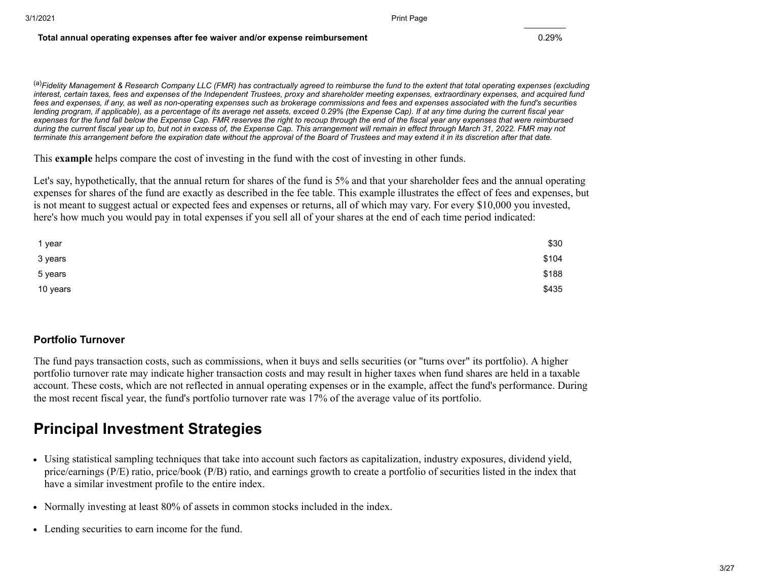#### **Total annual operating expenses after fee waiver and/or expense reimbursement** 0.29%

(a)*Fidelity Management & Research Company LLC (FMR) has contractually agreed to reimburse the fund to the extent that total operating expenses (excluding interest, certain taxes, fees and expenses of the Independent Trustees, proxy and shareholder meeting expenses, extraordinary expenses, and acquired fund fees and expenses, if any, as well as non-operating expenses such as brokerage commissions and fees and expenses associated with the fund's securities lending program, if applicable), as a percentage of its average net assets, exceed 0.29% (the Expense Cap). If at any time during the current fiscal year expenses for the fund fall below the Expense Cap. FMR reserves the right to recoup through the end of the fiscal year any expenses that were reimbursed during the current fiscal year up to, but not in excess of, the Expense Cap. This arrangement will remain in effect through March 31, 2022. FMR may not terminate this arrangement before the expiration date without the approval of the Board of Trustees and may extend it in its discretion after that date.*

This **example** helps compare the cost of investing in the fund with the cost of investing in other funds.

Let's say, hypothetically, that the annual return for shares of the fund is 5% and that your shareholder fees and the annual operating expenses for shares of the fund are exactly as described in the fee table. This example illustrates the effect of fees and expenses, but is not meant to suggest actual or expected fees and expenses or returns, all of which may vary. For every \$10,000 you invested, here's how much you would pay in total expenses if you sell all of your shares at the end of each time period indicated:

| 1 year   | \$30  |
|----------|-------|
| 3 years  | \$104 |
| 5 years  | \$188 |
| 10 years | \$435 |

#### **Portfolio Turnover**

The fund pays transaction costs, such as commissions, when it buys and sells securities (or "turns over" its portfolio). A higher portfolio turnover rate may indicate higher transaction costs and may result in higher taxes when fund shares are held in a taxable account. These costs, which are not reflected in annual operating expenses or in the example, affect the fund's performance. During the most recent fiscal year, the fund's portfolio turnover rate was 17% of the average value of its portfolio.

### **Principal Investment Strategies**

- Using statistical sampling techniques that take into account such factors as capitalization, industry exposures, dividend yield, price/earnings (P/E) ratio, price/book (P/B) ratio, and earnings growth to create a portfolio of securities listed in the index that have a similar investment profile to the entire index.
- Normally investing at least 80% of assets in common stocks included in the index.
- Lending securities to earn income for the fund.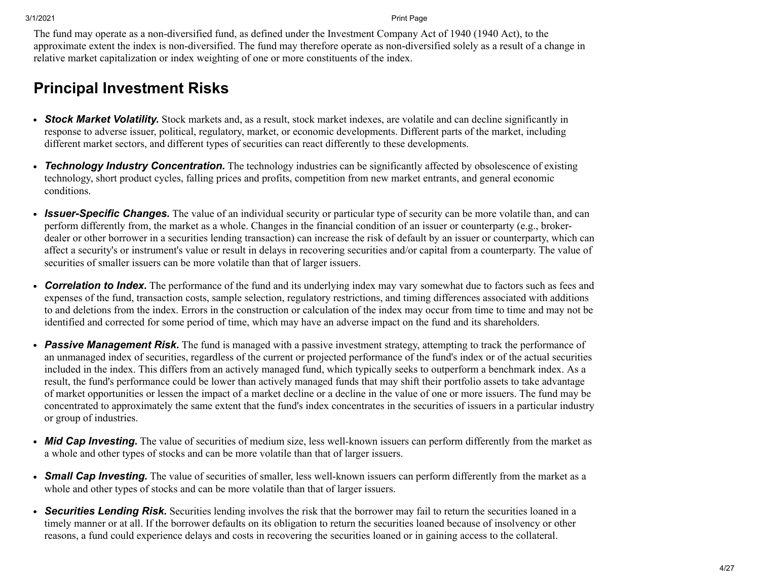The fund may operate as a non-diversified fund, as defined under the Investment Company Act of 1940 (1940 Act), to the approximate extent the index is non-diversified. The fund may therefore operate as non-diversified solely as a result of a change in relative market capitalization or index weighting of one or more constituents of the index.

### **Principal Investment Risks**

- *Stock Market Volatility.* Stock markets and, as a result, stock market indexes, are volatile and can decline significantly in response to adverse issuer, political, regulatory, market, or economic developments. Different parts of the market, including different market sectors, and different types of securities can react differently to these developments.
- *Technology Industry Concentration.* The technology industries can be significantly affected by obsolescence of existing technology, short product cycles, falling prices and profits, competition from new market entrants, and general economic conditions.
- *Issuer-Specific Changes.* The value of an individual security or particular type of security can be more volatile than, and can perform differently from, the market as a whole. Changes in the financial condition of an issuer or counterparty (e.g., brokerdealer or other borrower in a securities lending transaction) can increase the risk of default by an issuer or counterparty, which can affect a security's or instrument's value or result in delays in recovering securities and/or capital from a counterparty. The value of securities of smaller issuers can be more volatile than that of larger issuers.
- *Correlation to Index.* The performance of the fund and its underlying index may vary somewhat due to factors such as fees and expenses of the fund, transaction costs, sample selection, regulatory restrictions, and timing differences associated with additions to and deletions from the index. Errors in the construction or calculation of the index may occur from time to time and may not be identified and corrected for some period of time, which may have an adverse impact on the fund and its shareholders.
- *Passive Management Risk.* The fund is managed with a passive investment strategy, attempting to track the performance of an unmanaged index of securities, regardless of the current or projected performance of the fund's index or of the actual securities included in the index. This differs from an actively managed fund, which typically seeks to outperform a benchmark index. As a result, the fund's performance could be lower than actively managed funds that may shift their portfolio assets to take advantage of market opportunities or lessen the impact of a market decline or a decline in the value of one or more issuers. The fund may be concentrated to approximately the same extent that the fund's index concentrates in the securities of issuers in a particular industry or group of industries.
- *Mid Cap Investing.* The value of securities of medium size, less well-known issuers can perform differently from the market as a whole and other types of stocks and can be more volatile than that of larger issuers.
- *Small Cap Investing.* The value of securities of smaller, less well-known issuers can perform differently from the market as a whole and other types of stocks and can be more volatile than that of larger issuers.
- *Securities Lending Risk.* Securities lending involves the risk that the borrower may fail to return the securities loaned in a timely manner or at all. If the borrower defaults on its obligation to return the securities loaned because of insolvency or other reasons, a fund could experience delays and costs in recovering the securities loaned or in gaining access to the collateral.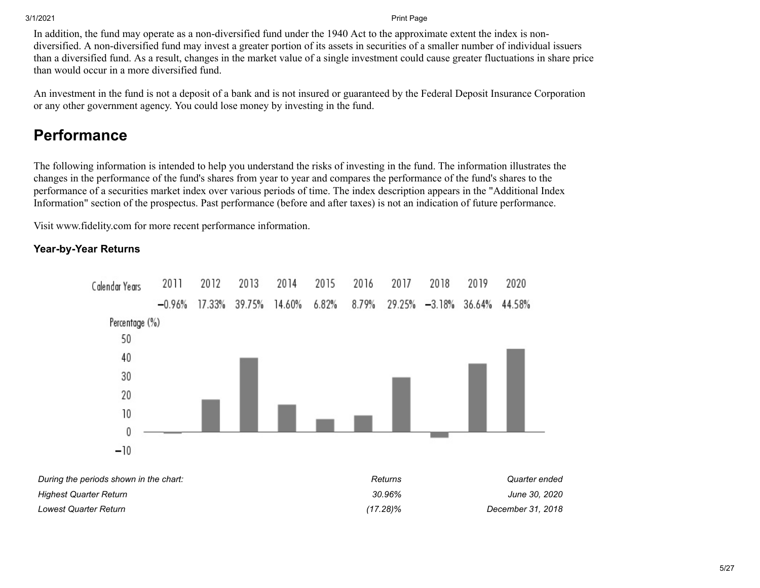In addition, the fund may operate as a non-diversified fund under the 1940 Act to the approximate extent the index is nondiversified. A non-diversified fund may invest a greater portion of its assets in securities of a smaller number of individual issuers than a diversified fund. As a result, changes in the market value of a single investment could cause greater fluctuations in share price than would occur in a more diversified fund.

An investment in the fund is not a deposit of a bank and is not insured or guaranteed by the Federal Deposit Insurance Corporation or any other government agency. You could lose money by investing in the fund.

## **Performance**

The following information is intended to help you understand the risks of investing in the fund. The information illustrates the changes in the performance of the fund's shares from year to year and compares the performance of the fund's shares to the performance of a securities market index over various periods of time. The index description appears in the "Additional Index Information" section of the prospectus. Past performance (before and after taxes) is not an indication of future performance.

Visit www.fidelity.com for more recent performance information.

#### **Year-by-Year Returns**



| During the periods shown in the chart: | Returns     | Quarter ended     |
|----------------------------------------|-------------|-------------------|
| Highest Quarter Return                 | 30.96%      | June 30, 2020     |
| Lowest Quarter Return                  | $(17.28)\%$ | December 31, 2018 |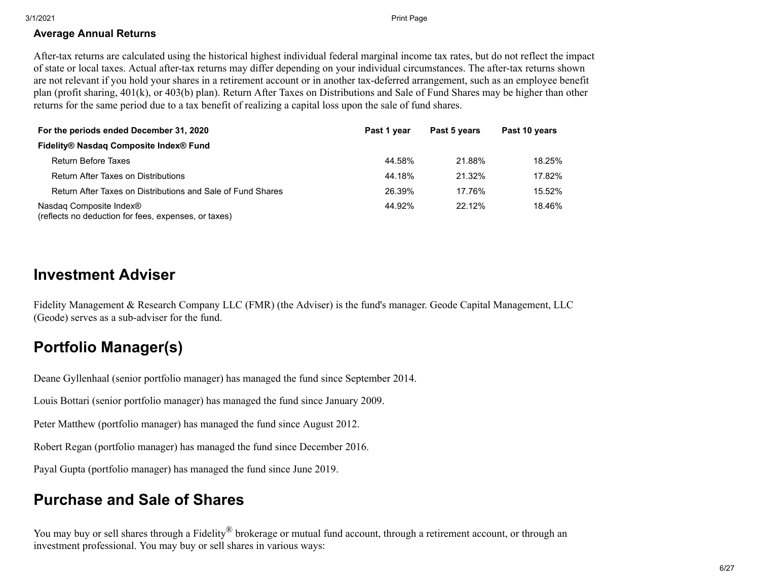#### **Average Annual Returns**

After-tax returns are calculated using the historical highest individual federal marginal income tax rates, but do not reflect the impact of state or local taxes. Actual after-tax returns may differ depending on your individual circumstances. The after-tax returns shown are not relevant if you hold your shares in a retirement account or in another tax-deferred arrangement, such as an employee benefit plan (profit sharing, 401(k), or 403(b) plan). Return After Taxes on Distributions and Sale of Fund Shares may be higher than other returns for the same period due to a tax benefit of realizing a capital loss upon the sale of fund shares.

| For the periods ended December 31, 2020                                         | Past 1 year | Past 5 years | Past 10 years |
|---------------------------------------------------------------------------------|-------------|--------------|---------------|
| Fidelity® Nasdag Composite Index® Fund                                          |             |              |               |
| <b>Return Before Taxes</b>                                                      | 44.58%      | 21.88%       | 18.25%        |
| <b>Return After Taxes on Distributions</b>                                      | 44.18%      | 21.32%       | 17.82%        |
| Return After Taxes on Distributions and Sale of Fund Shares                     | 26.39%      | 17.76%       | 15.52%        |
| Nasdag Composite Index®<br>(reflects no deduction for fees, expenses, or taxes) | 44.92%      | $22.12\%$    | 18.46%        |

### **Investment Adviser**

Fidelity Management & Research Company LLC (FMR) (the Adviser) is the fund's manager. Geode Capital Management, LLC (Geode) serves as a sub-adviser for the fund.

## **Portfolio Manager(s)**

Deane Gyllenhaal (senior portfolio manager) has managed the fund since September 2014.

Louis Bottari (senior portfolio manager) has managed the fund since January 2009.

Peter Matthew (portfolio manager) has managed the fund since August 2012.

Robert Regan (portfolio manager) has managed the fund since December 2016.

Payal Gupta (portfolio manager) has managed the fund since June 2019.

## **Purchase and Sale of Shares**

You may buy or sell shares through a Fidelity<sup>®</sup> brokerage or mutual fund account, through a retirement account, or through an investment professional. You may buy or sell shares in various ways: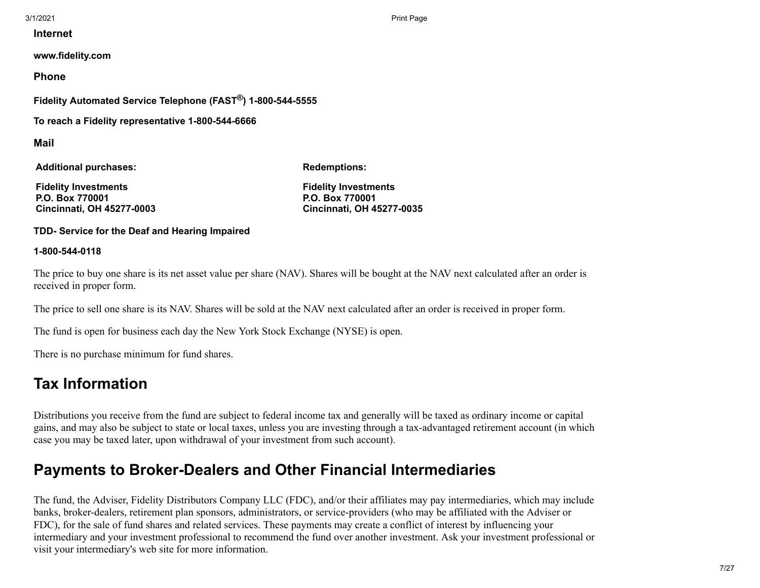**Internet**

**www.fidelity.com**

**Phone**

**Fidelity Automated Service Telephone (FAST®) 1-800-544-5555**

**To reach a Fidelity representative 1-800-544-6666**

**Mail**

**Additional purchases:**

**Redemptions:**

**Fidelity Investments P.O. Box 770001 Cincinnati, OH 45277-0003** **Fidelity Investments P.O. Box 770001 Cincinnati, OH 45277-0035**

**TDD- Service for the Deaf and Hearing Impaired**

#### **1-800-544-0118**

The price to buy one share is its net asset value per share (NAV). Shares will be bought at the NAV next calculated after an order is received in proper form.

The price to sell one share is its NAV. Shares will be sold at the NAV next calculated after an order is received in proper form.

The fund is open for business each day the New York Stock Exchange (NYSE) is open.

There is no purchase minimum for fund shares.

## **Tax Information**

Distributions you receive from the fund are subject to federal income tax and generally will be taxed as ordinary income or capital gains, and may also be subject to state or local taxes, unless you are investing through a tax-advantaged retirement account (in which case you may be taxed later, upon withdrawal of your investment from such account).

## **Payments to Broker-Dealers and Other Financial Intermediaries**

The fund, the Adviser, Fidelity Distributors Company LLC (FDC), and/or their affiliates may pay intermediaries, which may include banks, broker-dealers, retirement plan sponsors, administrators, or service-providers (who may be affiliated with the Adviser or FDC), for the sale of fund shares and related services. These payments may create a conflict of interest by influencing your intermediary and your investment professional to recommend the fund over another investment. Ask your investment professional or visit your intermediary's web site for more information.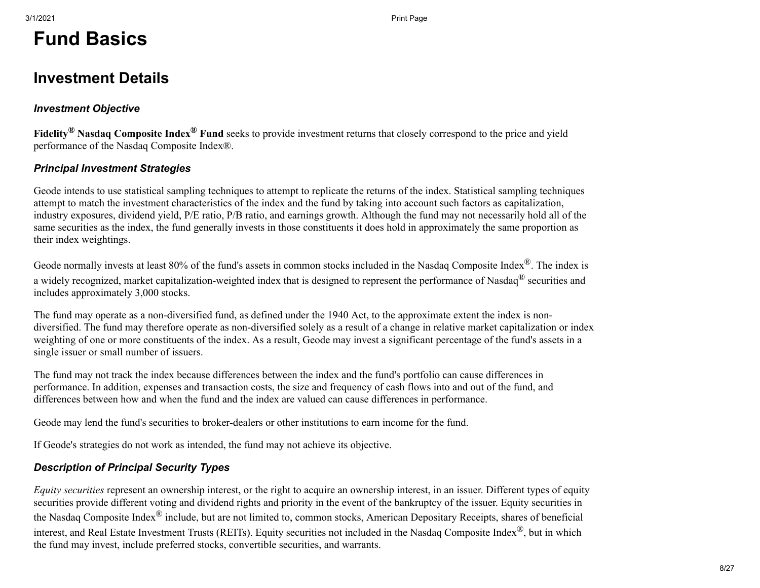# **Fund Basics**

### <span id="page-7-0"></span>**Investment Details**

#### *Investment Objective*

**Fidelity® Nasdaq Composite Index® Fund** seeks to provide investment returns that closely correspond to the price and yield performance of the Nasdaq Composite Index®.

#### *Principal Investment Strategies*

Geode intends to use statistical sampling techniques to attempt to replicate the returns of the index. Statistical sampling techniques attempt to match the investment characteristics of the index and the fund by taking into account such factors as capitalization, industry exposures, dividend yield, P/E ratio, P/B ratio, and earnings growth. Although the fund may not necessarily hold all of the same securities as the index, the fund generally invests in those constituents it does hold in approximately the same proportion as their index weightings.

Geode normally invests at least 80% of the fund's assets in common stocks included in the Nasdaq Composite Index®. The index is a widely recognized, market capitalization-weighted index that is designed to represent the performance of Nasdaq® securities and includes approximately 3,000 stocks.

The fund may operate as a non-diversified fund, as defined under the 1940 Act, to the approximate extent the index is nondiversified. The fund may therefore operate as non-diversified solely as a result of a change in relative market capitalization or index weighting of one or more constituents of the index. As a result, Geode may invest a significant percentage of the fund's assets in a single issuer or small number of issuers.

The fund may not track the index because differences between the index and the fund's portfolio can cause differences in performance. In addition, expenses and transaction costs, the size and frequency of cash flows into and out of the fund, and differences between how and when the fund and the index are valued can cause differences in performance.

Geode may lend the fund's securities to broker-dealers or other institutions to earn income for the fund.

If Geode's strategies do not work as intended, the fund may not achieve its objective.

### *Description of Principal Security Types*

*Equity securities* represent an ownership interest, or the right to acquire an ownership interest, in an issuer. Different types of equity securities provide different voting and dividend rights and priority in the event of the bankruptcy of the issuer. Equity securities in the Nasdaq Composite Index<sup>®</sup> include, but are not limited to, common stocks, American Depositary Receipts, shares of beneficial interest, and Real Estate Investment Trusts (REITs). Equity securities not included in the Nasdaq Composite Index®, but in which the fund may invest, include preferred stocks, convertible securities, and warrants.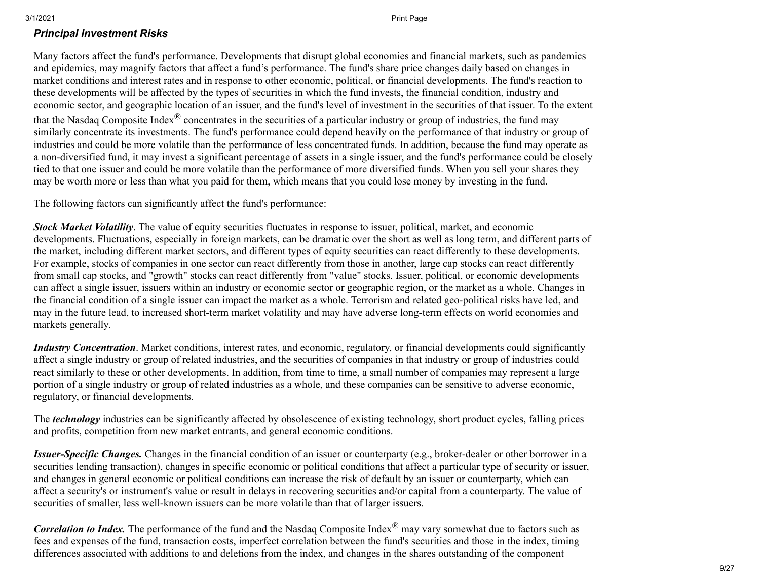#### *Principal Investment Risks*

Many factors affect the fund's performance. Developments that disrupt global economies and financial markets, such as pandemics and epidemics, may magnify factors that affect a fund's performance. The fund's share price changes daily based on changes in market conditions and interest rates and in response to other economic, political, or financial developments. The fund's reaction to these developments will be affected by the types of securities in which the fund invests, the financial condition, industry and economic sector, and geographic location of an issuer, and the fund's level of investment in the securities of that issuer. To the extent that the Nasdaq Composite Index $^{\circledR}$  concentrates in the securities of a particular industry or group of industries, the fund may similarly concentrate its investments. The fund's performance could depend heavily on the performance of that industry or group of industries and could be more volatile than the performance of less concentrated funds. In addition, because the fund may operate as a non-diversified fund, it may invest a significant percentage of assets in a single issuer, and the fund's performance could be closely tied to that one issuer and could be more volatile than the performance of more diversified funds. When you sell your shares they may be worth more or less than what you paid for them, which means that you could lose money by investing in the fund.

The following factors can significantly affect the fund's performance:

*Stock Market Volatility*. The value of equity securities fluctuates in response to issuer, political, market, and economic developments. Fluctuations, especially in foreign markets, can be dramatic over the short as well as long term, and different parts of the market, including different market sectors, and different types of equity securities can react differently to these developments. For example, stocks of companies in one sector can react differently from those in another, large cap stocks can react differently from small cap stocks, and "growth" stocks can react differently from "value" stocks. Issuer, political, or economic developments can affect a single issuer, issuers within an industry or economic sector or geographic region, or the market as a whole. Changes in the financial condition of a single issuer can impact the market as a whole. Terrorism and related geo-political risks have led, and may in the future lead, to increased short-term market volatility and may have adverse long-term effects on world economies and markets generally.

*Industry Concentration*. Market conditions, interest rates, and economic, regulatory, or financial developments could significantly affect a single industry or group of related industries, and the securities of companies in that industry or group of industries could react similarly to these or other developments. In addition, from time to time, a small number of companies may represent a large portion of a single industry or group of related industries as a whole, and these companies can be sensitive to adverse economic, regulatory, or financial developments.

The *technology* industries can be significantly affected by obsolescence of existing technology, short product cycles, falling prices and profits, competition from new market entrants, and general economic conditions.

*Issuer-Specific Changes.* Changes in the financial condition of an issuer or counterparty (e.g., broker-dealer or other borrower in a securities lending transaction), changes in specific economic or political conditions that affect a particular type of security or issuer, and changes in general economic or political conditions can increase the risk of default by an issuer or counterparty, which can affect a security's or instrument's value or result in delays in recovering securities and/or capital from a counterparty. The value of securities of smaller, less well-known issuers can be more volatile than that of larger issuers.

*Correlation to Index*. The performance of the fund and the Nasdaq Composite Index<sup>®</sup> may vary somewhat due to factors such as fees and expenses of the fund, transaction costs, imperfect correlation between the fund's securities and those in the index, timing differences associated with additions to and deletions from the index, and changes in the shares outstanding of the component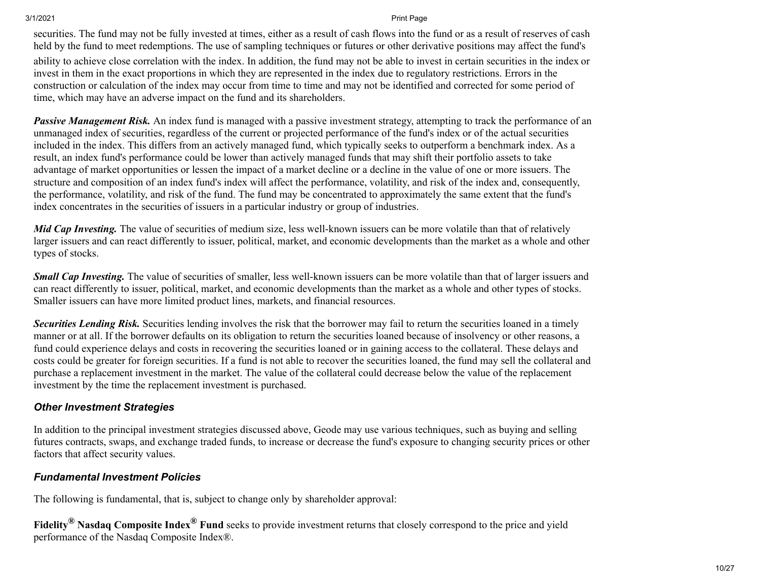securities. The fund may not be fully invested at times, either as a result of cash flows into the fund or as a result of reserves of cash held by the fund to meet redemptions. The use of sampling techniques or futures or other derivative positions may affect the fund's

ability to achieve close correlation with the index. In addition, the fund may not be able to invest in certain securities in the index or invest in them in the exact proportions in which they are represented in the index due to regulatory restrictions. Errors in the construction or calculation of the index may occur from time to time and may not be identified and corrected for some period of time, which may have an adverse impact on the fund and its shareholders.

*Passive Management Risk.* An index fund is managed with a passive investment strategy, attempting to track the performance of an unmanaged index of securities, regardless of the current or projected performance of the fund's index or of the actual securities included in the index. This differs from an actively managed fund, which typically seeks to outperform a benchmark index. As a result, an index fund's performance could be lower than actively managed funds that may shift their portfolio assets to take advantage of market opportunities or lessen the impact of a market decline or a decline in the value of one or more issuers. The structure and composition of an index fund's index will affect the performance, volatility, and risk of the index and, consequently, the performance, volatility, and risk of the fund. The fund may be concentrated to approximately the same extent that the fund's index concentrates in the securities of issuers in a particular industry or group of industries.

*Mid Cap Investing.* The value of securities of medium size, less well-known issuers can be more volatile than that of relatively larger issuers and can react differently to issuer, political, market, and economic developments than the market as a whole and other types of stocks.

*Small Cap Investing.* The value of securities of smaller, less well-known issuers can be more volatile than that of larger issuers and can react differently to issuer, political, market, and economic developments than the market as a whole and other types of stocks. Smaller issuers can have more limited product lines, markets, and financial resources.

*Securities Lending Risk.* Securities lending involves the risk that the borrower may fail to return the securities loaned in a timely manner or at all. If the borrower defaults on its obligation to return the securities loaned because of insolvency or other reasons, a fund could experience delays and costs in recovering the securities loaned or in gaining access to the collateral. These delays and costs could be greater for foreign securities. If a fund is not able to recover the securities loaned, the fund may sell the collateral and purchase a replacement investment in the market. The value of the collateral could decrease below the value of the replacement investment by the time the replacement investment is purchased.

#### *Other Investment Strategies*

In addition to the principal investment strategies discussed above, Geode may use various techniques, such as buying and selling futures contracts, swaps, and exchange traded funds, to increase or decrease the fund's exposure to changing security prices or other factors that affect security values.

#### *Fundamental Investment Policies*

The following is fundamental, that is, subject to change only by shareholder approval:

**Fidelity® Nasdaq Composite Index® Fund** seeks to provide investment returns that closely correspond to the price and yield performance of the Nasdaq Composite Index®.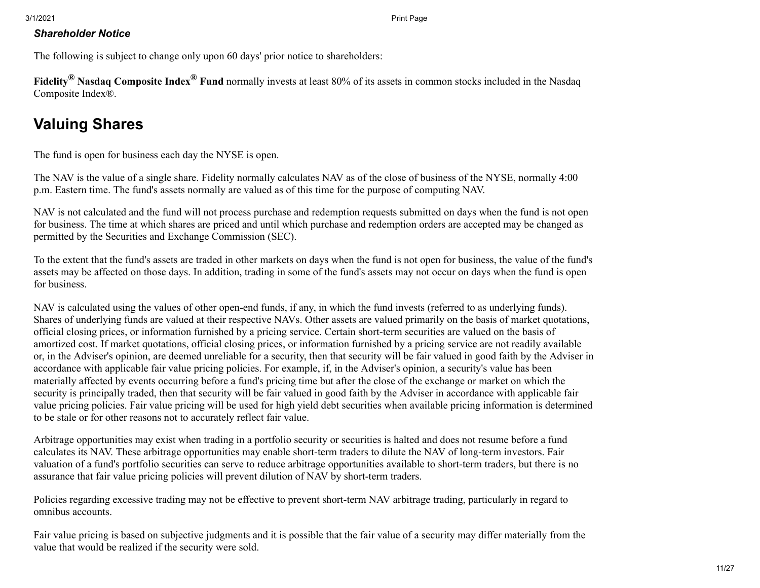#### *Shareholder Notice*

The following is subject to change only upon 60 days' prior notice to shareholders:

**Fidelity® Nasdaq Composite Index® Fund** normally invests at least 80% of its assets in common stocks included in the Nasdaq Composite Index®.

## <span id="page-10-0"></span>**Valuing Shares**

The fund is open for business each day the NYSE is open.

The NAV is the value of a single share. Fidelity normally calculates NAV as of the close of business of the NYSE, normally 4:00 p.m. Eastern time. The fund's assets normally are valued as of this time for the purpose of computing NAV.

NAV is not calculated and the fund will not process purchase and redemption requests submitted on days when the fund is not open for business. The time at which shares are priced and until which purchase and redemption orders are accepted may be changed as permitted by the Securities and Exchange Commission (SEC).

To the extent that the fund's assets are traded in other markets on days when the fund is not open for business, the value of the fund's assets may be affected on those days. In addition, trading in some of the fund's assets may not occur on days when the fund is open for business.

NAV is calculated using the values of other open-end funds, if any, in which the fund invests (referred to as underlying funds). Shares of underlying funds are valued at their respective NAVs. Other assets are valued primarily on the basis of market quotations, official closing prices, or information furnished by a pricing service. Certain short-term securities are valued on the basis of amortized cost. If market quotations, official closing prices, or information furnished by a pricing service are not readily available or, in the Adviser's opinion, are deemed unreliable for a security, then that security will be fair valued in good faith by the Adviser in accordance with applicable fair value pricing policies. For example, if, in the Adviser's opinion, a security's value has been materially affected by events occurring before a fund's pricing time but after the close of the exchange or market on which the security is principally traded, then that security will be fair valued in good faith by the Adviser in accordance with applicable fair value pricing policies. Fair value pricing will be used for high yield debt securities when available pricing information is determined to be stale or for other reasons not to accurately reflect fair value.

Arbitrage opportunities may exist when trading in a portfolio security or securities is halted and does not resume before a fund calculates its NAV. These arbitrage opportunities may enable short-term traders to dilute the NAV of long-term investors. Fair valuation of a fund's portfolio securities can serve to reduce arbitrage opportunities available to short-term traders, but there is no assurance that fair value pricing policies will prevent dilution of NAV by short-term traders.

Policies regarding excessive trading may not be effective to prevent short-term NAV arbitrage trading, particularly in regard to omnibus accounts.

Fair value pricing is based on subjective judgments and it is possible that the fair value of a security may differ materially from the value that would be realized if the security were sold.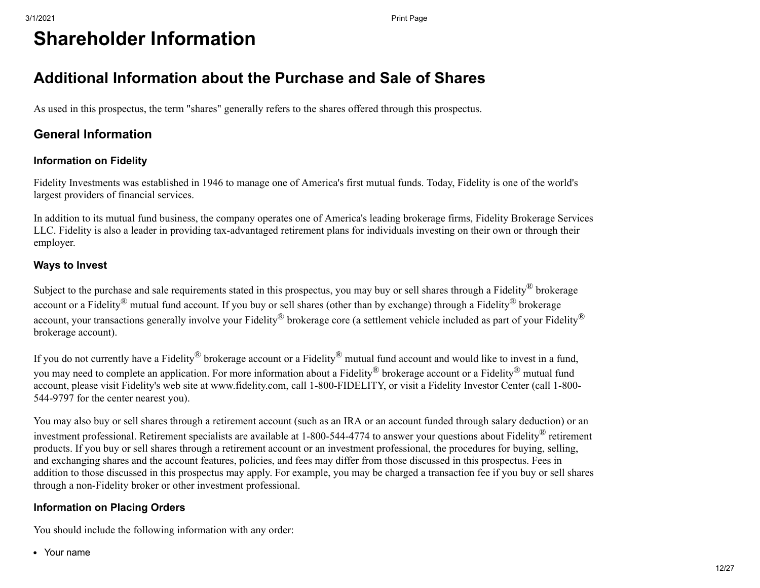# **Shareholder Information**

### <span id="page-11-0"></span>**Additional Information about the Purchase and Sale of Shares**

As used in this prospectus, the term "shares" generally refers to the shares offered through this prospectus.

### **General Information**

### **Information on Fidelity**

Fidelity Investments was established in 1946 to manage one of America's first mutual funds. Today, Fidelity is one of the world's largest providers of financial services.

In addition to its mutual fund business, the company operates one of America's leading brokerage firms, Fidelity Brokerage Services LLC. Fidelity is also a leader in providing tax-advantaged retirement plans for individuals investing on their own or through their employer.

#### **Ways to Invest**

Subject to the purchase and sale requirements stated in this prospectus, you may buy or sell shares through a Fidelity® brokerage account or a Fidelity<sup>®</sup> mutual fund account. If you buy or sell shares (other than by exchange) through a Fidelity<sup>®</sup> brokerage account, your transactions generally involve your Fidelity<sup>®</sup> brokerage core (a settlement vehicle included as part of your Fidelity<sup>®</sup> brokerage account).

If you do not currently have a Fidelity<sup>®</sup> brokerage account or a Fidelity<sup>®</sup> mutual fund account and would like to invest in a fund, you may need to complete an application. For more information about a Fidelity<sup>®</sup> brokerage account or a Fidelity<sup>®</sup> mutual fund account, please visit Fidelity's web site at www.fidelity.com, call 1-800-FIDELITY, or visit a Fidelity Investor Center (call 1-800- 544-9797 for the center nearest you).

You may also buy or sell shares through a retirement account (such as an IRA or an account funded through salary deduction) or an investment professional. Retirement specialists are available at 1-800-544-4774 to answer your questions about Fidelity® retirement products. If you buy or sell shares through a retirement account or an investment professional, the procedures for buying, selling, and exchanging shares and the account features, policies, and fees may differ from those discussed in this prospectus. Fees in addition to those discussed in this prospectus may apply. For example, you may be charged a transaction fee if you buy or sell shares through a non-Fidelity broker or other investment professional.

#### **Information on Placing Orders**

You should include the following information with any order:

Your name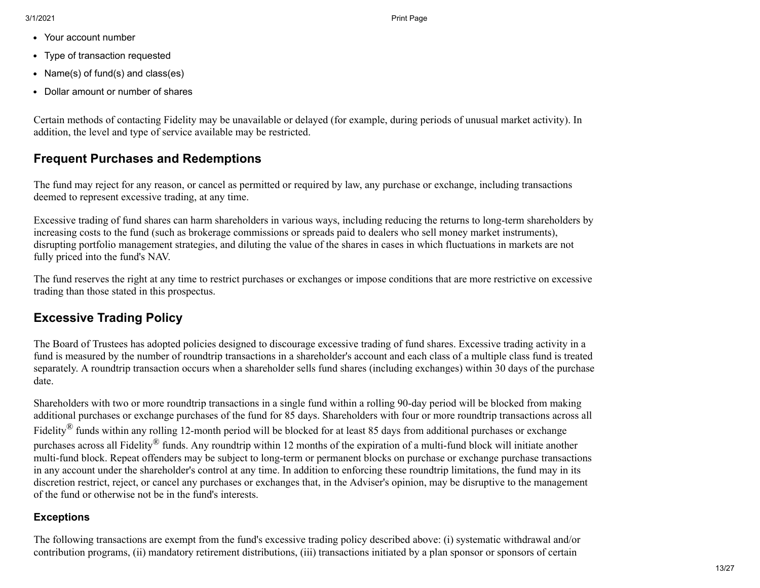- Your account number
- Type of transaction requested  $\bullet$
- Name(s) of fund(s) and class(es)
- Dollar amount or number of shares  $\bullet$

Certain methods of contacting Fidelity may be unavailable or delayed (for example, during periods of unusual market activity). In addition, the level and type of service available may be restricted.

### **Frequent Purchases and Redemptions**

The fund may reject for any reason, or cancel as permitted or required by law, any purchase or exchange, including transactions deemed to represent excessive trading, at any time.

Excessive trading of fund shares can harm shareholders in various ways, including reducing the returns to long-term shareholders by increasing costs to the fund (such as brokerage commissions or spreads paid to dealers who sell money market instruments), disrupting portfolio management strategies, and diluting the value of the shares in cases in which fluctuations in markets are not fully priced into the fund's NAV.

The fund reserves the right at any time to restrict purchases or exchanges or impose conditions that are more restrictive on excessive trading than those stated in this prospectus.

### **Excessive Trading Policy**

The Board of Trustees has adopted policies designed to discourage excessive trading of fund shares. Excessive trading activity in a fund is measured by the number of roundtrip transactions in a shareholder's account and each class of a multiple class fund is treated separately. A roundtrip transaction occurs when a shareholder sells fund shares (including exchanges) within 30 days of the purchase date.

Shareholders with two or more roundtrip transactions in a single fund within a rolling 90-day period will be blocked from making additional purchases or exchange purchases of the fund for 85 days. Shareholders with four or more roundtrip transactions across all Fidelity<sup>®</sup> funds within any rolling 12-month period will be blocked for at least 85 days from additional purchases or exchange purchases across all Fidelity® funds. Any roundtrip within 12 months of the expiration of a multi-fund block will initiate another multi-fund block. Repeat offenders may be subject to long-term or permanent blocks on purchase or exchange purchase transactions in any account under the shareholder's control at any time. In addition to enforcing these roundtrip limitations, the fund may in its discretion restrict, reject, or cancel any purchases or exchanges that, in the Adviser's opinion, may be disruptive to the management of the fund or otherwise not be in the fund's interests.

### **Exceptions**

The following transactions are exempt from the fund's excessive trading policy described above: (i) systematic withdrawal and/or contribution programs, (ii) mandatory retirement distributions, (iii) transactions initiated by a plan sponsor or sponsors of certain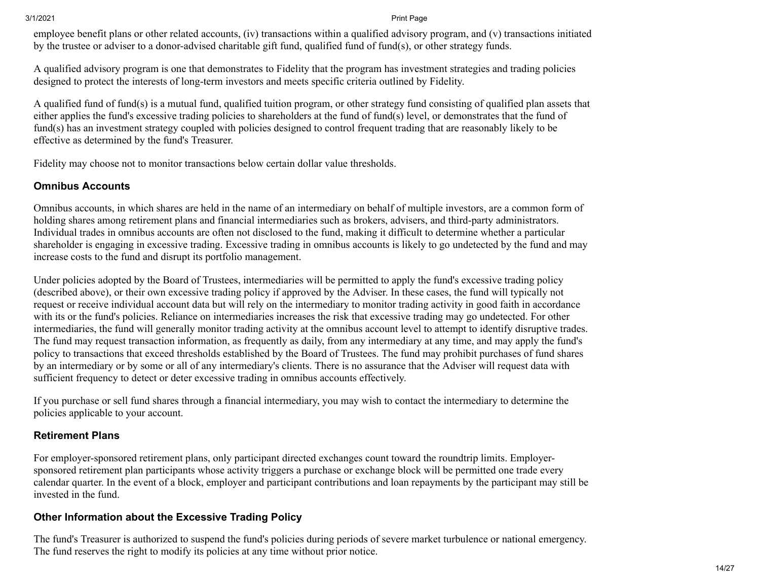employee benefit plans or other related accounts, (iv) transactions within a qualified advisory program, and (v) transactions initiated by the trustee or adviser to a donor-advised charitable gift fund, qualified fund of fund(s), or other strategy funds.

A qualified advisory program is one that demonstrates to Fidelity that the program has investment strategies and trading policies designed to protect the interests of long-term investors and meets specific criteria outlined by Fidelity.

A qualified fund of fund(s) is a mutual fund, qualified tuition program, or other strategy fund consisting of qualified plan assets that either applies the fund's excessive trading policies to shareholders at the fund of fund(s) level, or demonstrates that the fund of fund(s) has an investment strategy coupled with policies designed to control frequent trading that are reasonably likely to be effective as determined by the fund's Treasurer.

Fidelity may choose not to monitor transactions below certain dollar value thresholds.

#### **Omnibus Accounts**

Omnibus accounts, in which shares are held in the name of an intermediary on behalf of multiple investors, are a common form of holding shares among retirement plans and financial intermediaries such as brokers, advisers, and third-party administrators. Individual trades in omnibus accounts are often not disclosed to the fund, making it difficult to determine whether a particular shareholder is engaging in excessive trading. Excessive trading in omnibus accounts is likely to go undetected by the fund and may increase costs to the fund and disrupt its portfolio management.

Under policies adopted by the Board of Trustees, intermediaries will be permitted to apply the fund's excessive trading policy (described above), or their own excessive trading policy if approved by the Adviser. In these cases, the fund will typically not request or receive individual account data but will rely on the intermediary to monitor trading activity in good faith in accordance with its or the fund's policies. Reliance on intermediaries increases the risk that excessive trading may go undetected. For other intermediaries, the fund will generally monitor trading activity at the omnibus account level to attempt to identify disruptive trades. The fund may request transaction information, as frequently as daily, from any intermediary at any time, and may apply the fund's policy to transactions that exceed thresholds established by the Board of Trustees. The fund may prohibit purchases of fund shares by an intermediary or by some or all of any intermediary's clients. There is no assurance that the Adviser will request data with sufficient frequency to detect or deter excessive trading in omnibus accounts effectively.

If you purchase or sell fund shares through a financial intermediary, you may wish to contact the intermediary to determine the policies applicable to your account.

#### **Retirement Plans**

For employer-sponsored retirement plans, only participant directed exchanges count toward the roundtrip limits. Employersponsored retirement plan participants whose activity triggers a purchase or exchange block will be permitted one trade every calendar quarter. In the event of a block, employer and participant contributions and loan repayments by the participant may still be invested in the fund.

#### **Other Information about the Excessive Trading Policy**

The fund's Treasurer is authorized to suspend the fund's policies during periods of severe market turbulence or national emergency. The fund reserves the right to modify its policies at any time without prior notice.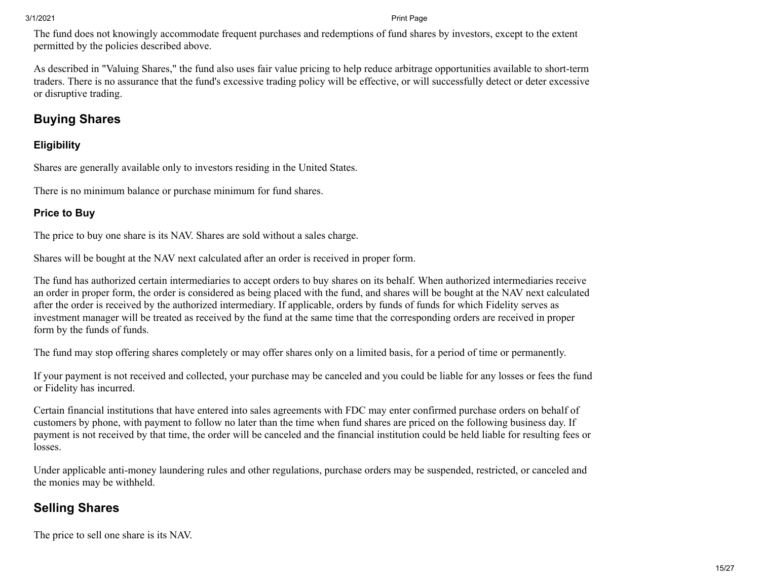The fund does not knowingly accommodate frequent purchases and redemptions of fund shares by investors, except to the extent permitted by the policies described above.

As described in "Valuing Shares," the fund also uses fair value pricing to help reduce arbitrage opportunities available to short-term traders. There is no assurance that the fund's excessive trading policy will be effective, or will successfully detect or deter excessive or disruptive trading.

### **Buying Shares**

#### **Eligibility**

Shares are generally available only to investors residing in the United States.

There is no minimum balance or purchase minimum for fund shares.

### **Price to Buy**

The price to buy one share is its NAV. Shares are sold without a sales charge.

Shares will be bought at the NAV next calculated after an order is received in proper form.

The fund has authorized certain intermediaries to accept orders to buy shares on its behalf. When authorized intermediaries receive an order in proper form, the order is considered as being placed with the fund, and shares will be bought at the NAV next calculated after the order is received by the authorized intermediary. If applicable, orders by funds of funds for which Fidelity serves as investment manager will be treated as received by the fund at the same time that the corresponding orders are received in proper form by the funds of funds.

The fund may stop offering shares completely or may offer shares only on a limited basis, for a period of time or permanently.

If your payment is not received and collected, your purchase may be canceled and you could be liable for any losses or fees the fund or Fidelity has incurred.

Certain financial institutions that have entered into sales agreements with FDC may enter confirmed purchase orders on behalf of customers by phone, with payment to follow no later than the time when fund shares are priced on the following business day. If payment is not received by that time, the order will be canceled and the financial institution could be held liable for resulting fees or losses.

Under applicable anti-money laundering rules and other regulations, purchase orders may be suspended, restricted, or canceled and the monies may be withheld.

### **Selling Shares**

The price to sell one share is its NAV.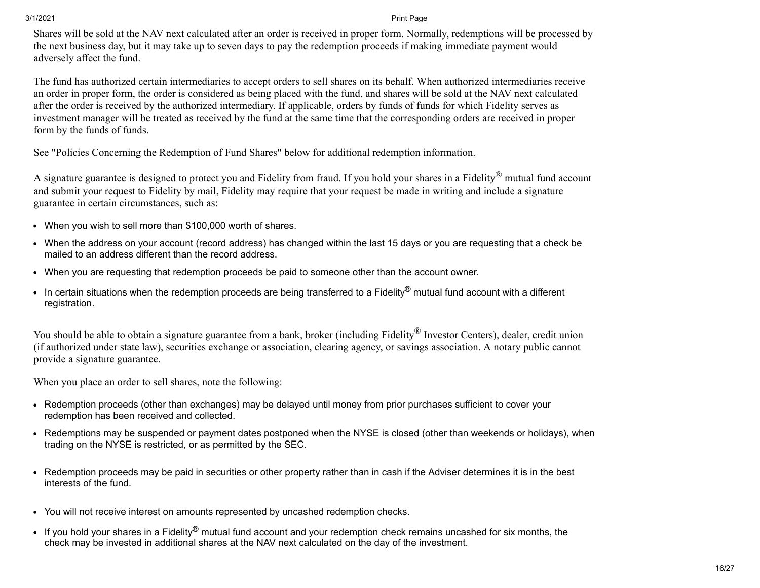Shares will be sold at the NAV next calculated after an order is received in proper form. Normally, redemptions will be processed by the next business day, but it may take up to seven days to pay the redemption proceeds if making immediate payment would adversely affect the fund.

The fund has authorized certain intermediaries to accept orders to sell shares on its behalf. When authorized intermediaries receive an order in proper form, the order is considered as being placed with the fund, and shares will be sold at the NAV next calculated after the order is received by the authorized intermediary. If applicable, orders by funds of funds for which Fidelity serves as investment manager will be treated as received by the fund at the same time that the corresponding orders are received in proper form by the funds of funds.

See "Policies Concerning the Redemption of Fund Shares" below for additional redemption information.

A signature guarantee is designed to protect you and Fidelity from fraud. If you hold your shares in a Fidelity® mutual fund account and submit your request to Fidelity by mail, Fidelity may require that your request be made in writing and include a signature guarantee in certain circumstances, such as:

- When you wish to sell more than \$100,000 worth of shares.
- When the address on your account (record address) has changed within the last 15 days or you are requesting that a check be mailed to an address different than the record address.
- When you are requesting that redemption proceeds be paid to someone other than the account owner.
- In certain situations when the redemption proceeds are being transferred to a Fidelity<sup>®</sup> mutual fund account with a different registration.

You should be able to obtain a signature guarantee from a bank, broker (including Fidelity<sup>®</sup> Investor Centers), dealer, credit union (if authorized under state law), securities exchange or association, clearing agency, or savings association. A notary public cannot provide a signature guarantee.

When you place an order to sell shares, note the following:

- Redemption proceeds (other than exchanges) may be delayed until money from prior purchases sufficient to cover your redemption has been received and collected.
- Redemptions may be suspended or payment dates postponed when the NYSE is closed (other than weekends or holidays), when trading on the NYSE is restricted, or as permitted by the SEC.
- Redemption proceeds may be paid in securities or other property rather than in cash if the Adviser determines it is in the best interests of the fund.
- You will not receive interest on amounts represented by uncashed redemption checks.
- If you hold your shares in a Fidelity<sup>®</sup> mutual fund account and your redemption check remains uncashed for six months, the check may be invested in additional shares at the NAV next calculated on the day of the investment.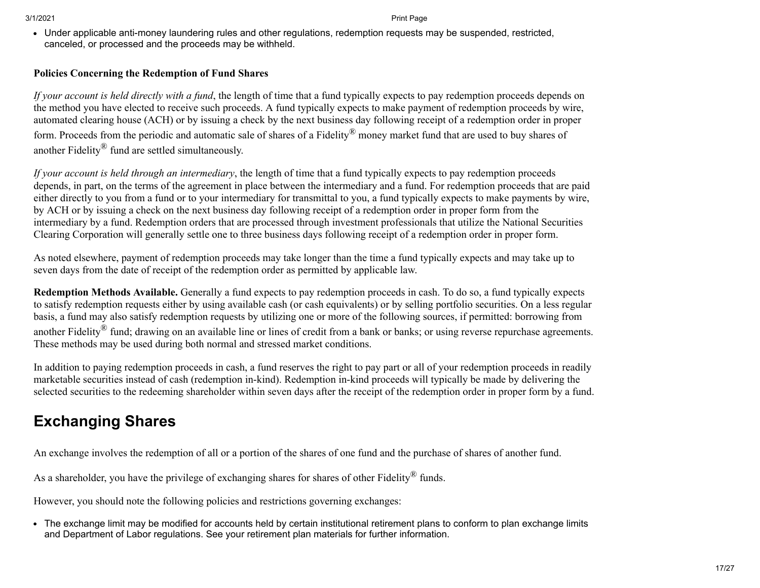Under applicable anti-money laundering rules and other regulations, redemption requests may be suspended, restricted, canceled, or processed and the proceeds may be withheld.

#### **Policies Concerning the Redemption of Fund Shares**

*If your account is held directly with a fund*, the length of time that a fund typically expects to pay redemption proceeds depends on the method you have elected to receive such proceeds. A fund typically expects to make payment of redemption proceeds by wire, automated clearing house (ACH) or by issuing a check by the next business day following receipt of a redemption order in proper form. Proceeds from the periodic and automatic sale of shares of a Fidelity® money market fund that are used to buy shares of another Fidelity® fund are settled simultaneously.

*If your account is held through an intermediary*, the length of time that a fund typically expects to pay redemption proceeds depends, in part, on the terms of the agreement in place between the intermediary and a fund. For redemption proceeds that are paid either directly to you from a fund or to your intermediary for transmittal to you, a fund typically expects to make payments by wire, by ACH or by issuing a check on the next business day following receipt of a redemption order in proper form from the intermediary by a fund. Redemption orders that are processed through investment professionals that utilize the National Securities Clearing Corporation will generally settle one to three business days following receipt of a redemption order in proper form.

As noted elsewhere, payment of redemption proceeds may take longer than the time a fund typically expects and may take up to seven days from the date of receipt of the redemption order as permitted by applicable law.

**Redemption Methods Available.** Generally a fund expects to pay redemption proceeds in cash. To do so, a fund typically expects to satisfy redemption requests either by using available cash (or cash equivalents) or by selling portfolio securities. On a less regular basis, a fund may also satisfy redemption requests by utilizing one or more of the following sources, if permitted: borrowing from another Fidelity<sup>®</sup> fund; drawing on an available line or lines of credit from a bank or banks; or using reverse repurchase agreements. These methods may be used during both normal and stressed market conditions.

In addition to paying redemption proceeds in cash, a fund reserves the right to pay part or all of your redemption proceeds in readily marketable securities instead of cash (redemption in-kind). Redemption in-kind proceeds will typically be made by delivering the selected securities to the redeeming shareholder within seven days after the receipt of the redemption order in proper form by a fund.

## <span id="page-16-0"></span>**Exchanging Shares**

An exchange involves the redemption of all or a portion of the shares of one fund and the purchase of shares of another fund.

As a shareholder, you have the privilege of exchanging shares for shares of other Fidelity<sup>®</sup> funds.

However, you should note the following policies and restrictions governing exchanges:

The exchange limit may be modified for accounts held by certain institutional retirement plans to conform to plan exchange limits and Department of Labor regulations. See your retirement plan materials for further information.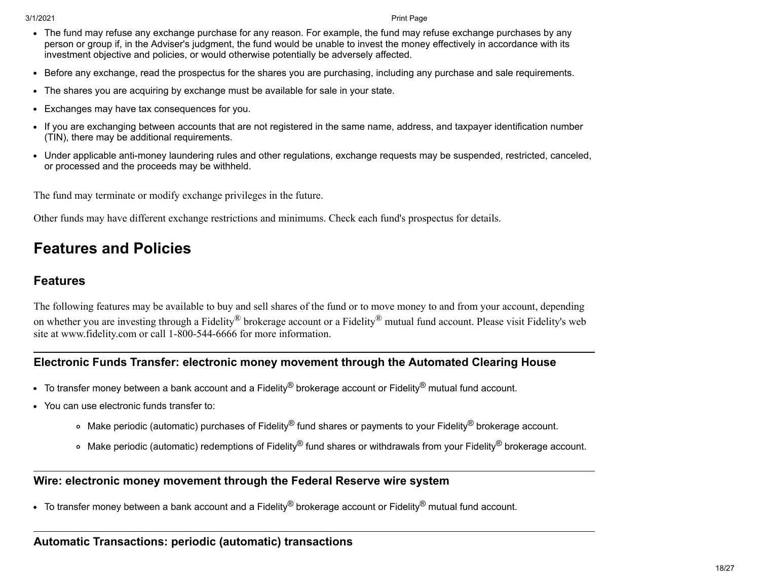- The fund may refuse any exchange purchase for any reason. For example, the fund may refuse exchange purchases by any person or group if, in the Adviser's judgment, the fund would be unable to invest the money effectively in accordance with its investment objective and policies, or would otherwise potentially be adversely affected.
- Before any exchange, read the prospectus for the shares you are purchasing, including any purchase and sale requirements.
- The shares you are acquiring by exchange must be available for sale in your state.
- Exchanges may have tax consequences for you.
- If you are exchanging between accounts that are not registered in the same name, address, and taxpayer identification number (TIN), there may be additional requirements.
- Under applicable anti-money laundering rules and other regulations, exchange requests may be suspended, restricted, canceled, or processed and the proceeds may be withheld.

The fund may terminate or modify exchange privileges in the future.

Other funds may have different exchange restrictions and minimums. Check each fund's prospectus for details.

## <span id="page-17-0"></span>**Features and Policies**

### **Features**

The following features may be available to buy and sell shares of the fund or to move money to and from your account, depending on whether you are investing through a Fidelity<sup>®</sup> brokerage account or a Fidelity<sup>®</sup> mutual fund account. Please visit Fidelity's web site at www.fidelity.com or call 1-800-544-6666 for more information.

### **Electronic Funds Transfer: electronic money movement through the Automated Clearing House**

- $\bullet$  To transfer money between a bank account and a Fidelity<sup>®</sup> brokerage account or Fidelity<sup>®</sup> mutual fund account.
- You can use electronic funds transfer to:
	- Make periodic (automatic) purchases of Fidelity® fund shares or payments to your Fidelity® brokerage account.
	- ∘ Make periodic (automatic) redemptions of Fidelity® fund shares or withdrawals from your Fidelity<sup>®</sup> brokerage account.

#### **Wire: electronic money movement through the Federal Reserve wire system**

 $\bullet$  To transfer money between a bank account and a Fidelity<sup>®</sup> brokerage account or Fidelity<sup>®</sup> mutual fund account.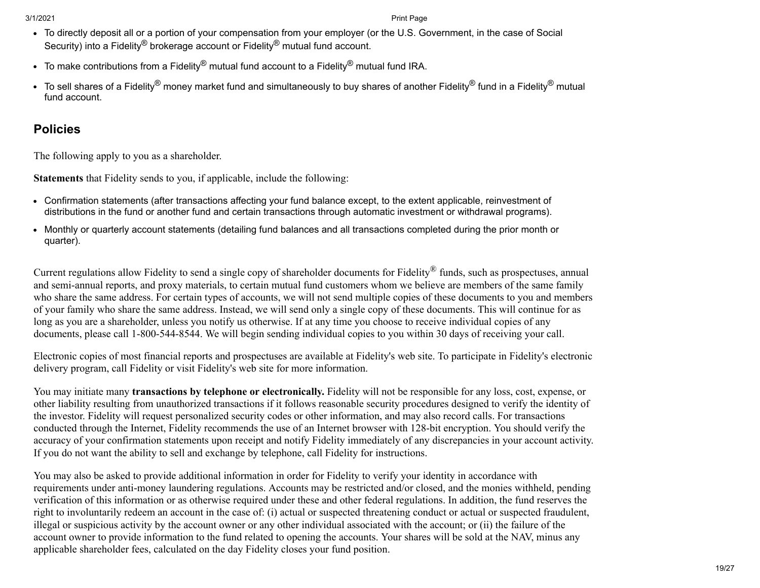- To directly deposit all or a portion of your compensation from your employer (or the U.S. Government, in the case of Social Security) into a Fidelity<sup>®</sup> brokerage account or Fidelity<sup>®</sup> mutual fund account.
- To make contributions from a Fidelity® mutual fund account to a Fidelity® mutual fund IRA.
- $\bullet$  To sell shares of a Fidelity® money market fund and simultaneously to buy shares of another Fidelity® fund in a Fidelity® mutual fund account.

### **Policies**

The following apply to you as a shareholder.

**Statements** that Fidelity sends to you, if applicable, include the following:

- Confirmation statements (after transactions affecting your fund balance except, to the extent applicable, reinvestment of distributions in the fund or another fund and certain transactions through automatic investment or withdrawal programs).
- Monthly or quarterly account statements (detailing fund balances and all transactions completed during the prior month or quarter).

Current regulations allow Fidelity to send a single copy of shareholder documents for Fidelity<sup>®</sup> funds, such as prospectuses, annual and semi-annual reports, and proxy materials, to certain mutual fund customers whom we believe are members of the same family who share the same address. For certain types of accounts, we will not send multiple copies of these documents to you and members of your family who share the same address. Instead, we will send only a single copy of these documents. This will continue for as long as you are a shareholder, unless you notify us otherwise. If at any time you choose to receive individual copies of any documents, please call 1-800-544-8544. We will begin sending individual copies to you within 30 days of receiving your call.

Electronic copies of most financial reports and prospectuses are available at Fidelity's web site. To participate in Fidelity's electronic delivery program, call Fidelity or visit Fidelity's web site for more information.

You may initiate many **transactions by telephone or electronically.** Fidelity will not be responsible for any loss, cost, expense, or other liability resulting from unauthorized transactions if it follows reasonable security procedures designed to verify the identity of the investor. Fidelity will request personalized security codes or other information, and may also record calls. For transactions conducted through the Internet, Fidelity recommends the use of an Internet browser with 128-bit encryption. You should verify the accuracy of your confirmation statements upon receipt and notify Fidelity immediately of any discrepancies in your account activity. If you do not want the ability to sell and exchange by telephone, call Fidelity for instructions.

You may also be asked to provide additional information in order for Fidelity to verify your identity in accordance with requirements under anti-money laundering regulations. Accounts may be restricted and/or closed, and the monies withheld, pending verification of this information or as otherwise required under these and other federal regulations. In addition, the fund reserves the right to involuntarily redeem an account in the case of: (i) actual or suspected threatening conduct or actual or suspected fraudulent, illegal or suspicious activity by the account owner or any other individual associated with the account; or (ii) the failure of the account owner to provide information to the fund related to opening the accounts. Your shares will be sold at the NAV, minus any applicable shareholder fees, calculated on the day Fidelity closes your fund position.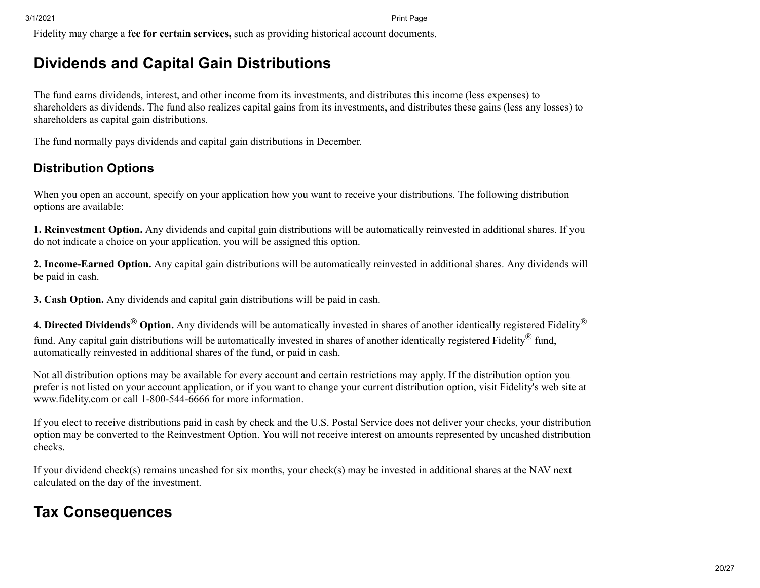Fidelity may charge a **fee for certain services,** such as providing historical account documents.

## <span id="page-19-0"></span>**Dividends and Capital Gain Distributions**

The fund earns dividends, interest, and other income from its investments, and distributes this income (less expenses) to shareholders as dividends. The fund also realizes capital gains from its investments, and distributes these gains (less any losses) to shareholders as capital gain distributions.

The fund normally pays dividends and capital gain distributions in December.

### **Distribution Options**

When you open an account, specify on your application how you want to receive your distributions. The following distribution options are available:

**1. Reinvestment Option.** Any dividends and capital gain distributions will be automatically reinvested in additional shares. If you do not indicate a choice on your application, you will be assigned this option.

**2. Income-Earned Option.** Any capital gain distributions will be automatically reinvested in additional shares. Any dividends will be paid in cash.

**3. Cash Option.** Any dividends and capital gain distributions will be paid in cash.

**4. Directed Dividends® Option.** Any dividends will be automatically invested in shares of another identically registered Fidelity® fund. Any capital gain distributions will be automatically invested in shares of another identically registered Fidelity<sup>®</sup> fund, automatically reinvested in additional shares of the fund, or paid in cash.

Not all distribution options may be available for every account and certain restrictions may apply. If the distribution option you prefer is not listed on your account application, or if you want to change your current distribution option, visit Fidelity's web site at www.fidelity.com or call 1-800-544-6666 for more information.

If you elect to receive distributions paid in cash by check and the U.S. Postal Service does not deliver your checks, your distribution option may be converted to the Reinvestment Option. You will not receive interest on amounts represented by uncashed distribution checks.

If your dividend check(s) remains uncashed for six months, your check(s) may be invested in additional shares at the NAV next calculated on the day of the investment.

## <span id="page-19-1"></span>**Tax Consequences**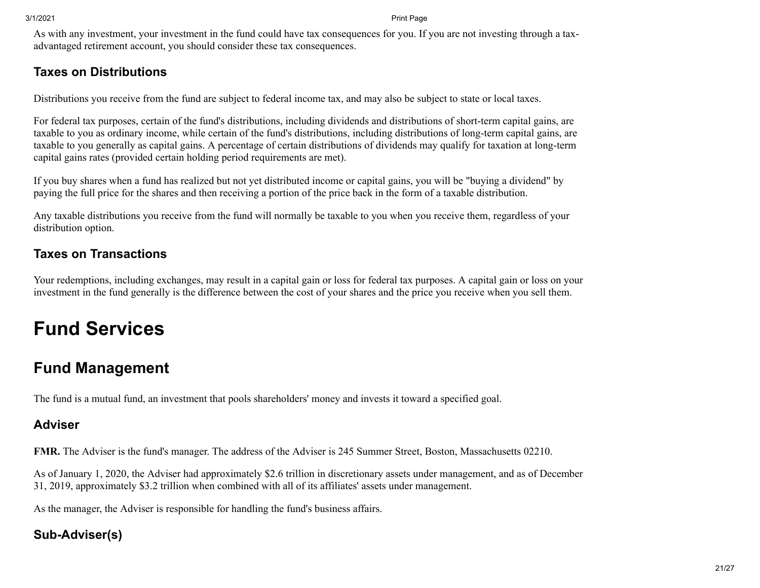As with any investment, your investment in the fund could have tax consequences for you. If you are not investing through a taxadvantaged retirement account, you should consider these tax consequences.

### **Taxes on Distributions**

Distributions you receive from the fund are subject to federal income tax, and may also be subject to state or local taxes.

For federal tax purposes, certain of the fund's distributions, including dividends and distributions of short-term capital gains, are taxable to you as ordinary income, while certain of the fund's distributions, including distributions of long-term capital gains, are taxable to you generally as capital gains. A percentage of certain distributions of dividends may qualify for taxation at long-term capital gains rates (provided certain holding period requirements are met).

If you buy shares when a fund has realized but not yet distributed income or capital gains, you will be "buying a dividend" by paying the full price for the shares and then receiving a portion of the price back in the form of a taxable distribution.

Any taxable distributions you receive from the fund will normally be taxable to you when you receive them, regardless of your distribution option.

### **Taxes on Transactions**

Your redemptions, including exchanges, may result in a capital gain or loss for federal tax purposes. A capital gain or loss on your investment in the fund generally is the difference between the cost of your shares and the price you receive when you sell them.

# **Fund Services**

## <span id="page-20-0"></span>**Fund Management**

The fund is a mutual fund, an investment that pools shareholders' money and invests it toward a specified goal.

### **Adviser**

**FMR.** The Adviser is the fund's manager. The address of the Adviser is 245 Summer Street, Boston, Massachusetts 02210.

As of January 1, 2020, the Adviser had approximately \$2.6 trillion in discretionary assets under management, and as of December 31, 2019, approximately \$3.2 trillion when combined with all of its affiliates' assets under management.

As the manager, the Adviser is responsible for handling the fund's business affairs.

### **Sub-Adviser(s)**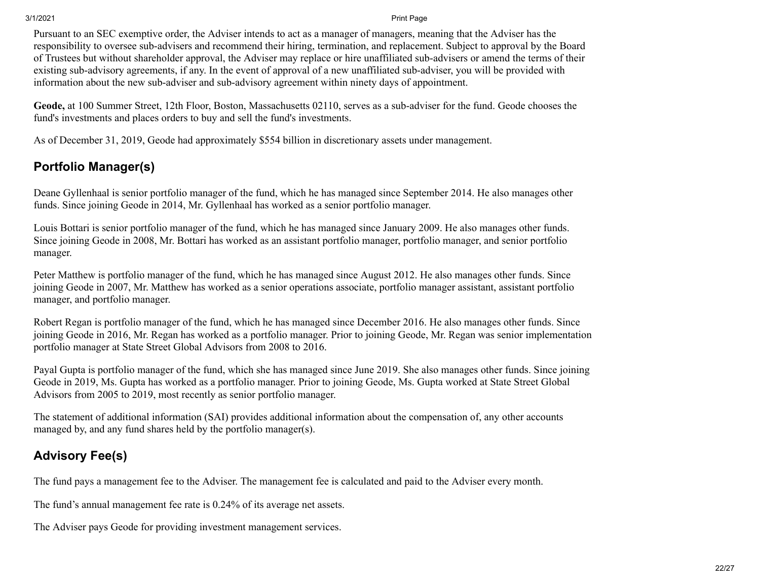Pursuant to an SEC exemptive order, the Adviser intends to act as a manager of managers, meaning that the Adviser has the responsibility to oversee sub-advisers and recommend their hiring, termination, and replacement. Subject to approval by the Board of Trustees but without shareholder approval, the Adviser may replace or hire unaffiliated sub-advisers or amend the terms of their existing sub-advisory agreements, if any. In the event of approval of a new unaffiliated sub-adviser, you will be provided with information about the new sub-adviser and sub-advisory agreement within ninety days of appointment.

**Geode,** at 100 Summer Street, 12th Floor, Boston, Massachusetts 02110, serves as a sub-adviser for the fund. Geode chooses the fund's investments and places orders to buy and sell the fund's investments.

As of December 31, 2019, Geode had approximately \$554 billion in discretionary assets under management.

### **Portfolio Manager(s)**

Deane Gyllenhaal is senior portfolio manager of the fund, which he has managed since September 2014. He also manages other funds. Since joining Geode in 2014, Mr. Gyllenhaal has worked as a senior portfolio manager.

Louis Bottari is senior portfolio manager of the fund, which he has managed since January 2009. He also manages other funds. Since joining Geode in 2008, Mr. Bottari has worked as an assistant portfolio manager, portfolio manager, and senior portfolio manager.

Peter Matthew is portfolio manager of the fund, which he has managed since August 2012. He also manages other funds. Since joining Geode in 2007, Mr. Matthew has worked as a senior operations associate, portfolio manager assistant, assistant portfolio manager, and portfolio manager.

Robert Regan is portfolio manager of the fund, which he has managed since December 2016. He also manages other funds. Since joining Geode in 2016, Mr. Regan has worked as a portfolio manager. Prior to joining Geode, Mr. Regan was senior implementation portfolio manager at State Street Global Advisors from 2008 to 2016.

Payal Gupta is portfolio manager of the fund, which she has managed since June 2019. She also manages other funds. Since joining Geode in 2019, Ms. Gupta has worked as a portfolio manager. Prior to joining Geode, Ms. Gupta worked at State Street Global Advisors from 2005 to 2019, most recently as senior portfolio manager.

The statement of additional information (SAI) provides additional information about the compensation of, any other accounts managed by, and any fund shares held by the portfolio manager(s).

### **Advisory Fee(s)**

The fund pays a management fee to the Adviser. The management fee is calculated and paid to the Adviser every month.

The fund's annual management fee rate is 0.24% of its average net assets.

The Adviser pays Geode for providing investment management services.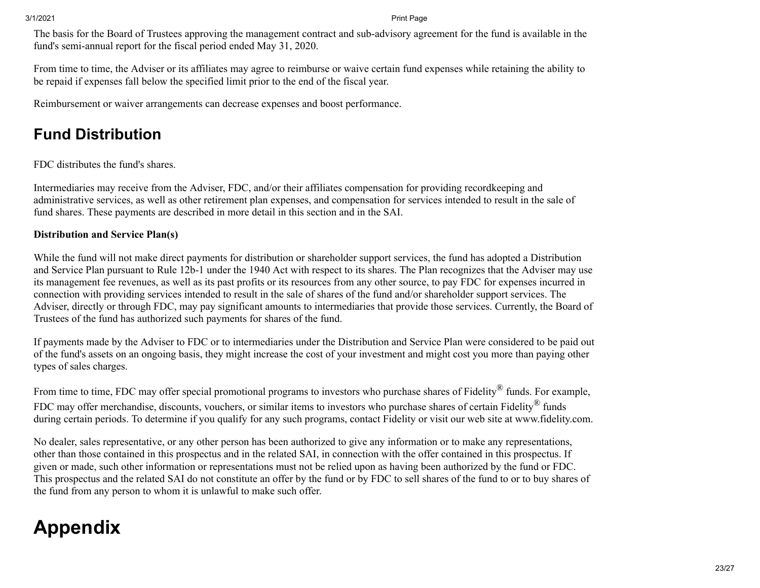The basis for the Board of Trustees approving the management contract and sub-advisory agreement for the fund is available in the fund's semi-annual report for the fiscal period ended May 31, 2020.

From time to time, the Adviser or its affiliates may agree to reimburse or waive certain fund expenses while retaining the ability to be repaid if expenses fall below the specified limit prior to the end of the fiscal year.

Reimbursement or waiver arrangements can decrease expenses and boost performance.

## <span id="page-22-0"></span>**Fund Distribution**

FDC distributes the fund's shares.

Intermediaries may receive from the Adviser, FDC, and/or their affiliates compensation for providing recordkeeping and administrative services, as well as other retirement plan expenses, and compensation for services intended to result in the sale of fund shares. These payments are described in more detail in this section and in the SAI.

#### **Distribution and Service Plan(s)**

While the fund will not make direct payments for distribution or shareholder support services, the fund has adopted a Distribution and Service Plan pursuant to Rule 12b-1 under the 1940 Act with respect to its shares. The Plan recognizes that the Adviser may use its management fee revenues, as well as its past profits or its resources from any other source, to pay FDC for expenses incurred in connection with providing services intended to result in the sale of shares of the fund and/or shareholder support services. The Adviser, directly or through FDC, may pay significant amounts to intermediaries that provide those services. Currently, the Board of Trustees of the fund has authorized such payments for shares of the fund.

If payments made by the Adviser to FDC or to intermediaries under the Distribution and Service Plan were considered to be paid out of the fund's assets on an ongoing basis, they might increase the cost of your investment and might cost you more than paying other types of sales charges.

From time to time, FDC may offer special promotional programs to investors who purchase shares of Fidelity® funds. For example, FDC may offer merchandise, discounts, vouchers, or similar items to investors who purchase shares of certain Fidelity<sup>®</sup> funds during certain periods. To determine if you qualify for any such programs, contact Fidelity or visit our web site at www.fidelity.com.

No dealer, sales representative, or any other person has been authorized to give any information or to make any representations, other than those contained in this prospectus and in the related SAI, in connection with the offer contained in this prospectus. If given or made, such other information or representations must not be relied upon as having been authorized by the fund or FDC. This prospectus and the related SAI do not constitute an offer by the fund or by FDC to sell shares of the fund to or to buy shares of the fund from any person to whom it is unlawful to make such offer.

# **Appendix**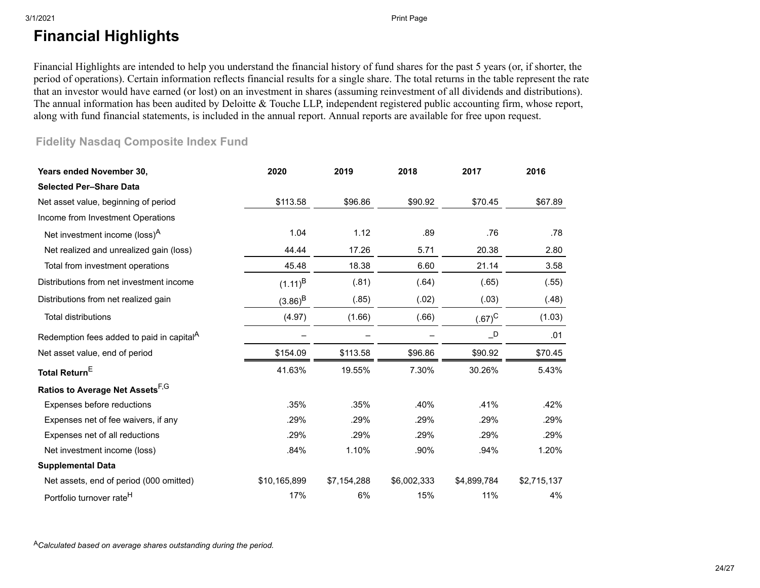## <span id="page-23-0"></span>**Financial Highlights**

Financial Highlights are intended to help you understand the financial history of fund shares for the past 5 years (or, if shorter, the period of operations). Certain information reflects financial results for a single share. The total returns in the table represent the rate that an investor would have earned (or lost) on an investment in shares (assuming reinvestment of all dividends and distributions). The annual information has been audited by Deloitte & Touche LLP, independent registered public accounting firm, whose report, along with fund financial statements, is included in the annual report. Annual reports are available for free upon request.

### **Fidelity Nasdaq Composite Index Fund**

| Years ended November 30,                              | 2020         | 2019        | 2018        | 2017                       | 2016        |
|-------------------------------------------------------|--------------|-------------|-------------|----------------------------|-------------|
| <b>Selected Per-Share Data</b>                        |              |             |             |                            |             |
| Net asset value, beginning of period                  | \$113.58     | \$96.86     | \$90.92     | \$70.45                    | \$67.89     |
| Income from Investment Operations                     |              |             |             |                            |             |
| Net investment income (loss) <sup>A</sup>             | 1.04         | 1.12        | .89         | .76                        | .78         |
| Net realized and unrealized gain (loss)               | 44.44        | 17.26       | 5.71        | 20.38                      | 2.80        |
| Total from investment operations                      | 45.48        | 18.38       | 6.60        | 21.14                      | 3.58        |
| Distributions from net investment income              | $(1.11)^{B}$ | (.81)       | (.64)       | (.65)                      | (.55)       |
| Distributions from net realized gain                  | $(3.86)^{B}$ | (.85)       | (.02)       | (.03)                      | (.48)       |
| <b>Total distributions</b>                            | (4.97)       | (1.66)      | (.66)       | $(.67)^C$                  | (1.03)      |
| Redemption fees added to paid in capital <sup>A</sup> |              |             |             | $\overline{\phantom{a}}$ D | .01         |
| Net asset value, end of period                        | \$154.09     | \$113.58    | \$96.86     | \$90.92                    | \$70.45     |
| Total Return <sup>E</sup>                             | 41.63%       | 19.55%      | 7.30%       | 30.26%                     | 5.43%       |
| Ratios to Average Net Assets F,G                      |              |             |             |                            |             |
| Expenses before reductions                            | .35%         | .35%        | .40%        | .41%                       | .42%        |
| Expenses net of fee waivers, if any                   | .29%         | .29%        | .29%        | .29%                       | .29%        |
| Expenses net of all reductions                        | .29%         | .29%        | .29%        | .29%                       | .29%        |
| Net investment income (loss)                          | .84%         | 1.10%       | .90%        | .94%                       | 1.20%       |
| <b>Supplemental Data</b>                              |              |             |             |                            |             |
| Net assets, end of period (000 omitted)               | \$10,165,899 | \$7,154,288 | \$6,002,333 | \$4,899,784                | \$2,715,137 |
| Portfolio turnover rate <sup>H</sup>                  | 17%          | 6%          | 15%         | 11%                        | 4%          |

<sup>A</sup>*Calculated based on average shares outstanding during the period.*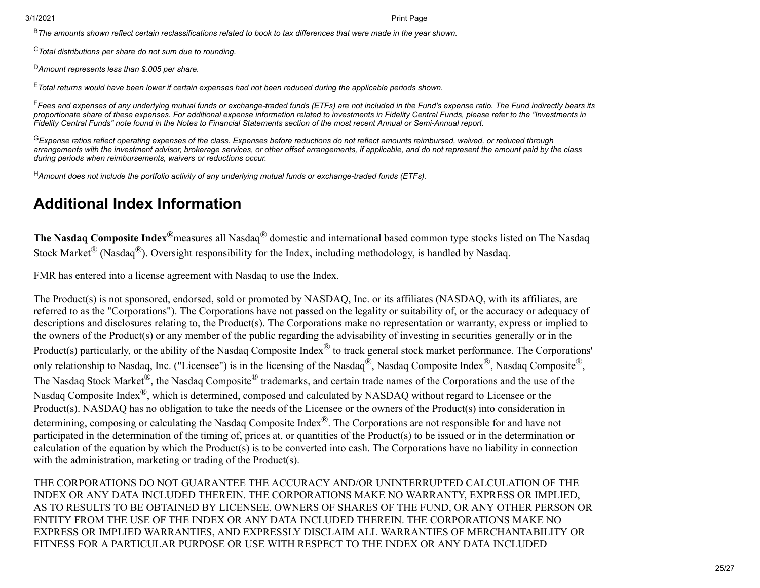<sup>B</sup>*The amounts shown reflect certain reclassifications related to book to tax differences that were made in the year shown.*

<sup>C</sup>*Total distributions per share do not sum due to rounding.*

<sup>D</sup>*Amount represents less than \$.005 per share.*

<sup>E</sup>*Total returns would have been lower if certain expenses had not been reduced during the applicable periods shown.*

<sup>F</sup>*Fees and expenses of any underlying mutual funds or exchange-traded funds (ETFs) are not included in the Fund's expense ratio. The Fund indirectly bears its proportionate share of these expenses. For additional expense information related to investments in Fidelity Central Funds, please refer to the "Investments in Fidelity Central Funds" note found in the Notes to Financial Statements section of the most recent Annual or Semi-Annual report.*

<sup>G</sup>*Expense ratios reflect operating expenses of the class. Expenses before reductions do not reflect amounts reimbursed, waived, or reduced through arrangements with the investment advisor, brokerage services, or other offset arrangements, if applicable, and do not represent the amount paid by the class during periods when reimbursements, waivers or reductions occur.*

<sup>H</sup>*Amount does not include the portfolio activity of any underlying mutual funds or exchange-traded funds (ETFs).*

## <span id="page-24-0"></span>**Additional Index Information**

**The Nasdaq Composite Index®**measures all Nasdaq® domestic and international based common type stocks listed on The Nasdaq Stock Market<sup>®</sup> (Nasdaq<sup>®</sup>). Oversight responsibility for the Index, including methodology, is handled by Nasdaq.

FMR has entered into a license agreement with Nasdaq to use the Index.

The Product(s) is not sponsored, endorsed, sold or promoted by NASDAQ, Inc. or its affiliates (NASDAQ, with its affiliates, are referred to as the "Corporations"). The Corporations have not passed on the legality or suitability of, or the accuracy or adequacy of descriptions and disclosures relating to, the Product(s). The Corporations make no representation or warranty, express or implied to the owners of the Product(s) or any member of the public regarding the advisability of investing in securities generally or in the Product(s) particularly, or the ability of the Nasdaq Composite Index<sup>®</sup> to track general stock market performance. The Corporations' only relationship to Nasdaq, Inc. ("Licensee") is in the licensing of the Nasdaq®, Nasdaq Composite Index®, Nasdaq Composite®, The Nasdaq Stock Market<sup>®</sup>, the Nasdaq Composite<sup>®</sup> trademarks, and certain trade names of the Corporations and the use of the Nasdaq Composite Index®, which is determined, composed and calculated by NASDAQ without regard to Licensee or the Product(s). NASDAQ has no obligation to take the needs of the Licensee or the owners of the Product(s) into consideration in determining, composing or calculating the Nasdaq Composite Index<sup>®</sup>. The Corporations are not responsible for and have not participated in the determination of the timing of, prices at, or quantities of the Product(s) to be issued or in the determination or calculation of the equation by which the Product(s) is to be converted into cash. The Corporations have no liability in connection with the administration, marketing or trading of the Product(s).

THE CORPORATIONS DO NOT GUARANTEE THE ACCURACY AND/OR UNINTERRUPTED CALCULATION OF THE INDEX OR ANY DATA INCLUDED THEREIN. THE CORPORATIONS MAKE NO WARRANTY, EXPRESS OR IMPLIED, AS TO RESULTS TO BE OBTAINED BY LICENSEE, OWNERS OF SHARES OF THE FUND, OR ANY OTHER PERSON OR ENTITY FROM THE USE OF THE INDEX OR ANY DATA INCLUDED THEREIN. THE CORPORATIONS MAKE NO EXPRESS OR IMPLIED WARRANTIES, AND EXPRESSLY DISCLAIM ALL WARRANTIES OF MERCHANTABILITY OR FITNESS FOR A PARTICULAR PURPOSE OR USE WITH RESPECT TO THE INDEX OR ANY DATA INCLUDED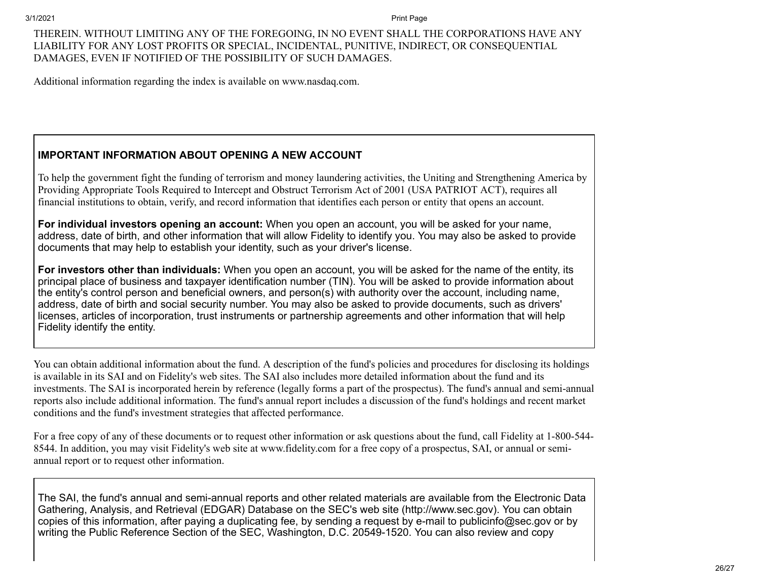#### THEREIN. WITHOUT LIMITING ANY OF THE FOREGOING, IN NO EVENT SHALL THE CORPORATIONS HAVE ANY LIABILITY FOR ANY LOST PROFITS OR SPECIAL, INCIDENTAL, PUNITIVE, INDIRECT, OR CONSEQUENTIAL DAMAGES, EVEN IF NOTIFIED OF THE POSSIBILITY OF SUCH DAMAGES.

Additional information regarding the index is available on www.nasdaq.com.

#### **IMPORTANT INFORMATION ABOUT OPENING A NEW ACCOUNT**

To help the government fight the funding of terrorism and money laundering activities, the Uniting and Strengthening America by Providing Appropriate Tools Required to Intercept and Obstruct Terrorism Act of 2001 (USA PATRIOT ACT), requires all financial institutions to obtain, verify, and record information that identifies each person or entity that opens an account.

**For individual investors opening an account:** When you open an account, you will be asked for your name, address, date of birth, and other information that will allow Fidelity to identify you. You may also be asked to provide documents that may help to establish your identity, such as your driver's license.

**For investors other than individuals:** When you open an account, you will be asked for the name of the entity, its principal place of business and taxpayer identification number (TIN). You will be asked to provide information about the entity's control person and beneficial owners, and person(s) with authority over the account, including name, address, date of birth and social security number. You may also be asked to provide documents, such as drivers' licenses, articles of incorporation, trust instruments or partnership agreements and other information that will help Fidelity identify the entity.

You can obtain additional information about the fund. A description of the fund's policies and procedures for disclosing its holdings is available in its SAI and on Fidelity's web sites. The SAI also includes more detailed information about the fund and its investments. The SAI is incorporated herein by reference (legally forms a part of the prospectus). The fund's annual and semi-annual reports also include additional information. The fund's annual report includes a discussion of the fund's holdings and recent market conditions and the fund's investment strategies that affected performance.

For a free copy of any of these documents or to request other information or ask questions about the fund, call Fidelity at 1-800-544- 8544. In addition, you may visit Fidelity's web site at www.fidelity.com for a free copy of a prospectus, SAI, or annual or semiannual report or to request other information.

The SAI, the fund's annual and semi-annual reports and other related materials are available from the Electronic Data Gathering, Analysis, and Retrieval (EDGAR) Database on the SEC's web site (http://www.sec.gov). You can obtain copies of this information, after paying a duplicating fee, by sending a request by e-mail to publicinfo@sec.gov or by writing the Public Reference Section of the SEC, Washington, D.C. 20549-1520. You can also review and copy